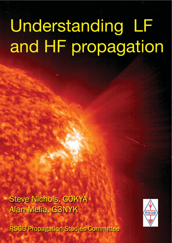# Understanding LF and HF propagation

Steve Nichols, GOKYA Alan Melia, G3NYK

**RSGB Propagation Studies Committee** 

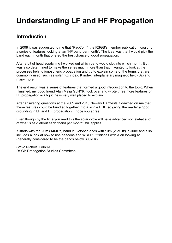### **Understanding LF and HF Propagation**

#### **Introduction**

In 2008 it was suggested to me that "RadCom", the RSGB's member publication, could run a series of features looking at an "HF band per month". The idea was that I would pick the band each month that offered the best chance of good propagation.

After a bit of head scratching I worked out which band would slot into which month. But I was also determined to make the series much more than that. I wanted to look at the processes behind ionospheric propagation and try to explain some of the terms that are commonly used, such as solar flux index, K index, interplanetary magnetic field (Bz) and many more.

The end result was a series of features that formed a good introduction to the topic. When I finished, my good friend Alan Melia G3NYK, took over and wrote three more features on LF propagation – a topic he is very well placed to explain.

After answering questions at the 2009 and 2010 Newark Hamfests it dawned on me that these features could be bundled together into a single PDF, so giving the reader a good grounding in LF and HF propagation. I hope you agree.

Even though by the time you read this the solar cycle will have advanced somewhat a lot of what is said about each "band per month" still applies.

It starts with the 20m (14MHz) band in October, ends with 10m (28MHz) in June and also includes a look at how to use beacons and WSPR. It finishes with Alan looking at LF (generally considered to be the bands below 300kHz).

Steve Nichols, G0KYA RSGB Propagation Studies Committee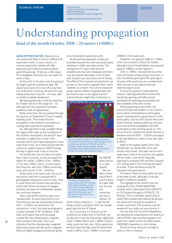STEVE NICHOLS **TECHNICAL FEATURE EXERCT OF A STEVE NICHOLS AND A STEVE NICHOLS CONTROLLY BLUE ROAD, WYMONDHAM** NORWICH NR18 6XU RSGB PROPAGATION STUDIES COMMITTEE

E-MAIL STEVE@INFOTECHCOMMS.CO.UK

## Understanding propagation

Band <sup>o</sup>f the month October <sup>2008</sup> – <sup>20</sup> metres (14MHz)

GOOD OPPORTUNITIES. Welcome to a new series that takes a look at a different HF band each month. In each column, I'll choose a band that I believe will offer beginners and newly-licensed amateurs good DX openings. I'll tell you a little about HF propagation and what you can expect to work or hear.

At this point in the solar cycle it is going to be tough to get the predictions right. We expect solar cycle 24 to kick off at any time but, at the time of writing, the solar flux was sitting stubbornly in the 65 – 70 zone, with no visible sunspots whatsoever.

My best guesstimate is that the solar flux for October will be in the range 65 – 75, although don't be surprised if sunspots suddenly make an appearance.

At the same time, the sun passed through the equinox on September 22 and is rapidly heading south. This means that the ionosphere in the northern hemisphere is cooling down and becoming denser.

So, although there is less sunlight hitting the regions that make up the ionosphere in the northern hemisphere, the actual F layer ionisation is higher than it was in the summer and D and E layer absorption is now lower than it was. As a result we find that the maximum usable frequency (MUF) during the day is higher than it was in summer.

On the flip side, the sun sets a lot earlier than it did in summer, so we can expect the higher HF bands, 21MHz (15m), 18MHz (17m) and 14MHz (20m), to close earlier than they did, with only 14MHz remaining open until around 2100 – 2200hrs.

At this point in the solar cycle, the sun is less active, both from a sunspot and a geomagnetic disturbance point of view. That is, solar flares and coronal mass ejections, which both throw out tonnes of charged particles into space at unbelievable speeds, are much less frequent.

Take a look at the real-time solar wind 'speedometer' at www.solarcycle24.com. From that you will see that speeds of around 400 – 1,000km per second are not uncommon. In fact, this solar wind gauge is a useful indicator of HF conditions. If the solar wind speed rises and the gauge marked 'Bz' (the interplanetary magnetic field) swings to the south, this is an indication that the interplanetary magnetic field could couple with the earth's magnetic field and highly-charged particles are going

to be channelled towards the earth.

As the particles approach us they are funnelled towards the north and south poles, resulting in visible and radio aurora. The ionosphere's F2 layer could become unstable and may even disappear and there may be massive absorption in the D layer, both of which can shut down the HF bands. The effect of this massive bombardment can be seen on the earth's magnetic field, which 'wobbles' as a result. This can be measured using a device called a magnetometer and the result is seen in the higher A and K indices that you might hear mentioned on



A screen grab from ACE-HF. The blue area shows the parts of the world that you might be able to work on 20m from the UK at 1700UTC with 80% reliability, 100W, dipole-to-dipole, namely north/east USA/Canada, Northern Africa, parts of Europe and a path into the Indian Ocean.

the GB2RS news service or in solar reports. We can take a closer look at the A and K indices at a later date but, for now, just remember that low A (below 10)



The solar wind indicator at www.solarcycle24.com showing fairly settled conditions. A solar wind speed of about 380km/s and the Bz field neutral. At this point the K index was 1 and falling, the A index was 3 and the solar flux 66.

and K indices (look for  $0 - 1$ ) with the Bz being neutral or pointing 'north' are usually good signs for the HF bands.

So in summary, it is Autumn so HF conditions are better than in Summer, but we still don't have the long winter nights that make 3.5MHz (80m) and 1.8MHz (160m) really come into their own. At the same time we don't have the high solar flux levels that make 21MHz (15m), 24MHz (12m) and

28MHz (10m) really hum.

Therefore I am going to settle for 14MHz (20m) as my band of choice for October, although much of what follows could equally apply to 18MHz, so don't ignore it.

20m or 14MHz, has become one of the main DX bands during sunspot minimum. It has consistently given good DX openings to all parts of the world and as a contest band often has lots of rare stations that are relatively easy to work.

Around the equinox it really starts to improve. Opening just before sunrise and remaining opening until after sunset, worldwide DX openings are possible and also probable at this time of year.

At the beginning of the month, the amount of solar illumination in the northern and southern hemispheres is still roughly equal, meaning this is a good time for northsouth paths, such as UK to South Africa and South America. Easterly paths are common at sunrise and the propagation will shift southwards as the morning wears on. The prime time for contacts into South America is therefore around 0900 – 1000hrs and again in the late afternoon, when it may also open to Africa.

Paths to the eastern states of the USA should open up shortly after noon and remain until sunset. This path will be much better than it was in the summer and signals will be louder. Look out for long path openings to Australia (VK) and New Zealand (ZL) during early to mid morning and again at sunset. These will favour those HF operators with good beams.

The band is likely to close within an hour or two after sunset, although it may last longer if conditions are good.

The highlight of the month if you are chasing DX is the 2008 CQWW SSB Contest, which takes place from 0000UTC on 25 October through to 2359UTC, 26 October. This is a fantastic opportunity to make SSB contacts with stations all around the world and it should be possible to contact more than 100 countries over the weekend if you really put your mind to it.

You can also find out what DXpeditions are operating by subscribing to the reports at www.425dxn.org/ and www.papays.com/ opdx.html. Watch out for the Willis Island (VK9DWX) Dxpedition in mid October.

Do let me know what you manage to work on 20m in October.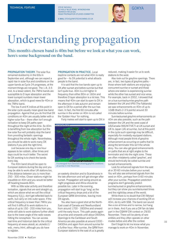STEVE NICHOLS TECHNICAL FEATURE TECHNICAL FEATURE STEVE NICHOLS AND THE CHILD AND THE CHILD AND THE CHILD AND GOKYA NORWICH NR18 6XU RSGB PROPAGATION STUDIES COMMITTEE

E-MAIL STEVE@INFOTECHCOMMS.CO.UK



## Understanding propagation

This month's chosen band is <sup>40</sup>m but before we look at what you can work, here's some background on the band.

PROPAGATION THEORY. The solar flux remained stubbornly in the 60s in September and, although we can expect a rapid rise in solar flux and conditions on the upper bands as Cycle 24 progresses, at the moment things are not good. The 1.8, 3.5 and, to a lesser extent, the 7MHz bands are susceptible to D layer absorption and the lower sunspot numbers mean lower absorption, which is good news for 40m or the 7MHz band.

The low A and K indices at this point in the solar cycle usually mean good low band propagation. Against that you do find that DX conditions on 40m are usually better with a higher solar flux – there often isn't enough ionisation to keep DX paths open throughout the night at this time. So 40m is benefiting from low absorption but the low solar flux will probably stop the band from providing fantastic openings throughout the whole night. Nevertheless, you should be able to work many DX stations if you pick the right time.

Just because one day or one hour appears to be rubbish, other times and days could be much better. The secret for DX working is to check the bands every day.

The 40m band should be open to European stations during the day and you may be able to work other UK stations too, if the distance between you is more than 250 - 300 miles. Closer stations might be inaudible on 40m and you would be better off heading towards 80m.

With so little solar activity and therefore ionisation, signals that are sent straight up, which are above what we call the critical frequency  $(f_0f_2)$ , don't get reflected back to earth, but carry on into outer space. If the critical frequency is lower than 7MHz you will find it difficult to work stations in a radius of up to 150 - 200 miles from you, while still able to work stations further afield due to the lower angle of the radio waves hitting the ionosphere. You can access real-time and historical date for the critical frequency at www.ukssdc.ac.uk/wdcc1/ wdc\_menu.html, although you do have to register.

PROPAGATION IN PRACTICE. Local daytime contacts are not what 40m is really good for – its DX potential is what attracts people to the band.

It is said that the low bands open up to DX after sunset and before sunrise but that isn't quite true. 40m is a lot higher in frequency than either 80m or 160m and therefore D layer absorption is a lot less. This means that 40m can start to open to DX in the afternoon in late autumn and remain open to DX for a period after the sun has risen. In fact, the first 60 minutes after sunrise in the winter on 40m is not called the 'Golden Hour' for nothing.

Forty metres will start to open up to DX in



A screengrab from Geoclock showing greyline conditions at sunrise in mid November.

an easterly direction and to Scandinavia in the late afternoon and will get stronger after sunset. Propagation will swing around as night progresses and Africa should be possible too. Later in the evening, propagation will start to go 'long' as the critical frequency drops and a lot of the European QRM diminishes, leaving more DX signals.

You also have a good shot at the North-East coast of Canada and Newfoundland from around 1700 - 1800hrs and onward until the early hours. This path peaks again at sunrise and onwards until about 0900hrs. Openings to the Caribbean and South America are also possible at around 0300 - 0400hrs and again from around sunrise for a further hour. After sunrise, the QRM from European stations to the east of us is greatly

reduced, making it easier for us to work stations to the west.

Also look out for greyline openings. There are, in fact, two types of greyline paths – those where both stations are enjoying a concurrent sunrise or sunset and those where one station is experiencing sunrise while the other has sunset and vice versa. For example, back in 2002, I showed that on a true sunrise/sunrise greyline path between the UK and VP8 (The Falklands) we saw enhancements on 40m of up to 10dB (that's 2-3 S points) around 30 minutes before sunrise.

Sunrise/sunset greyline enhancements on 40m are also possible, such as the path between the UK and the west coast of US/Canada (W6/W7/VE7) at UK sunset and UK to Japan (JA) at sunrise, but at this point in the cycle such openings may be difficult, especially for modestly equipped stations. Although most people think of greyline enhancement as occurring on paths that lie along the terminator this isn't the whole story. You can also get good enhancements on paths that are at right angles to the terminator and into the night zone. These are often mistakenly called 'greyline', and should technically be called sunrise and sunset enhancements.

Look for enhanced signals from the east at or 30-60 minutes before your sunset. You will also see enhanced signals from the west on 40m, perhaps from 0-60 minutes after your sunrise. Propagation prediction programs don't generally predict sunrise/sunset or greyline enhancements, but they can show you sunrise/sunset times and the night/day areas of the world.

While there is no doubt that CW (Morse) will increase your chances of working DX on 40m, do try with SSB. The band can sound like a zoo at times and is narrow, but hang on in there. And if you are a CW fan do take part in the CQWW CW contest on 29/30 November. There will be plenty of rare entities and they often operate on other modes before and after the contest.

Don't forget to let me know what you manage to work on 40m in November.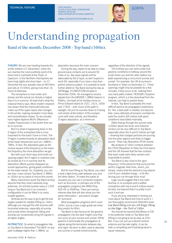STEVE NICHOLS TECHNICAL FEATURE TECHNICAL FEATURE STEVE NICHOLS AND THE CHILD AND THE CHILD AND THE CHILD AND GOKYA NORWICH NR18 6XU RSGB PROPAGATION STUDIES COMMITTEE

E-MAIL STEVE@INFOTECHCOMMS.CO.UK



## Understanding propagation

Band <sup>o</sup>f the month, December <sup>2008</sup> - Top band (160m).

**THEORY.** We are now heading towards the winter solstice (21 December), when the sun reaches the most southerly point of its travel and is overhead at the Tropic of Capricorn. In the Northern Hemisphere we have long nights and short days – on 21 December the sun actually rises at 08:04hrs and sets at 15:54hrs, giving more than 16 hours of darkness.

The ionosphere is now cooler and denser and the actual ion density is higher than it is in summer. At least that's what the classical theory says. More modern research has shown that the chemical/molecular make-up of the upper layers also changes in the winter, making ionisation more likely and recombination slower. So we actually have higher daytime MUFs (Maximum Usable Frequencies) in the winter than we do in summer.

But it is what is happening down in the D region of the ionosphere that is more important for the band I have in mind. The D region is predominantly an absorption band at the lower frequencies such as 1.8MHz – 7MHz. In fact, the absorption goes as the inverse square of the frequency so the lower the frequency the more absorption we get.

But with such short days and small sun 'grazing angles' the D region is nowhere near as ionised as it is in summer and its absorption effects quickly disappear as sunset approaches, giving great conditions for the lower bands. So, hopefully, you can see why I have chosen Top Band (1.8MHz or 160m) as my band of choice this month.

Many newcomers avoid Top Band as they assume that they need massively long antennas. An end-fed quarter wave is 132ft long on Top Band but in an inverted L configuration it can be fitted in to many smaller gardens.

Verticals are the way to go to get the low angles needed for reliable DXing on 160m, although you may get the odd surprise with horizontal antennas, especially at sunrise and sunset when ionospheric tilting and ducting can occasionally bring DX signals in at higher angles.

IN PRACTICE. So what is propagation like on Top Band in December? The MUF on any path is *always* higher than 1.8MHz, so

absorption becomes the main concern.

During the day, expect to be able to make ground wave contacts out to around 50 miles or so. Sky wave signals will be attenuated by the D layer, so don't expect to work DX, especially if you have a less than perfect antenna system. It is possible to work further afield on Top Band during the day as Jeff Briggs, K1ZM/VY2ZM showed in December 2006. He managed to receive signals from the GB3SSS 1.8MHz beacon in Poldhu, Cornwall at his holiday home on Prince Edward Island at 1031, 1615, 1659 and 1745Z – with much of the path in daylight. He put his success down to it being mid-winter at the bottom of the sunspot cycle with solar activity, and therefore D region absorption, at a minimum.



But for true DXing on Top Band, you need a dark (night-time) path between you and the other station. To make this easier to visualise you can use a computer program, such as Sunclock, or perhaps one of the propagation programs like W6ELProp, ACE-HF or VOAProp. There are various internet sites that will also show you the same information – just search Google for 'sunclock'.

Most propagation programs don't cover 160m, but as a very rough guide see what they predict for 80m.

Top Band is also famous for the greyline propagation into the dark (night) zone that can occur at your sunrise and sunset. While greyline is technically the propagation of signals along the terminator between day and night, the term is often used to describe any sunrise or sunset enhancements,

regardless of the direction of the signals.

The furthest you can work under true greyline conditions is halfway around the world when you and the other station are *both* experiencing a concurrent sunrise and sunset. For example, the UK at sunrise to Auckland or Tokyo on December 21. These openings might only be possible for a few minutes, if they occur at all, making them very hard paths indeed. PA3CQR's 'Grayline' program, which is a free download from the internet, can help to predict these.

In fact, Top Band is probably the most difficult band to do propagation predictions for. Yes, a dark path is needed, but beyond that, many attempts at trying to correlate the solar flux and/or A/K indices with good conditions have failed miserably.

Paths that go through the auroral ovals (100km above the Arctic and Antarctic circles) can be very difficult on Top Band, especially when the A and K indices are high – showing that charged particles are pouring into the polar regions and likely to trigger aurora - Polar Cap Absorption (PCA) events.

My analysis of 160m contacts between the 3Y0X DXpedition to Peter the First Island and the UK showed that the few contacts that were made were fairly random and impossible to predict.

Top Band is also close to the 'gyrofrequency' of the electrons that surround the earth's magnetic field lines, which, put simply, means that the electrons may absorb a lot of your radiated energy – a bit like driving your car through thick mud!

Logic would suggest that a low solar flux/low or no sunspots and a settled ionosphere with low A and K indices would be best, but beyond that it is pretty much suck it and see.

If you are truly interested in finding out more about Top Band and how to work it, I can thoroughly recommend ON4UN's book *Low Band DXing* and also Jeff Briggs' *DXing on the Edge – the Thrill of 160m*.

You should be warned that Morse or CW is the preferred mode on Top Band and DXing is not going to be as easy as 20m. But, if you can put up a decent vertical antenna and like late nights, it can be both a compelling and frustrating band in equal measures.

59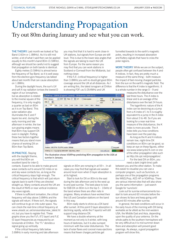### Understanding Propagation Try out <sup>80</sup>m during January and see what you can work.

THE THEORY. Last month we looked at Top Band (160m or 1.8MHz). As it is still mid winter, a lot of what I said then can be applied equally to this month's band 80m (3.5MHz), although we should be careful not to suggest that propagation on both bands is identical.

Eighty metres (3.5MHz) is almost twice the frequency of Top Band, so it is well away from the electron gyro frequency (as talked about last month) that can cause absorption on 1.8MHz.

During the daylight hours, the sun's UV and soft X-ray radiation ionises the lowest D

region of our ionosphere, but as absorption is related to the inverse square of the frequency, it is only roughly a quarter as bad on 80m as it is on Top Band. This solar radiation also illuminates the E and F layers too and, during the early morning and late afternoon in winter, the low sun grazing angles means that 80m may support DX even in daylight. Putting these two factors together means that you stand more chance of working DX on 80m than Top Band.

#### IN PRACTICE. Staying

with the daylight theme, you will find 80m an excellent band for inter-G

contacts. Expect to be able to make ground wave contacts out to around 50 miles or so and sky-wave contacts too, as long as the critical frequency stays high enough. The critical frequency is that which will just return signals back to earth if they are directed straight up. Many contacts around the UK are the result of NVIS or near vertical incidence sky-wave signals.

If there is sufficient ionisation, the critical frequency will stay above 3.8MHz and the signals will return. If there isn't, the signals will continue to go on into outer space. You can check the real-time critical frequency at www.ukssdc.ac.uk/ionosondes/view\_latest.ht ml, but you have to register first. These graphs show you the  $F_0F_2$  (F2 layer) and  $F_0E$ (E layer) frequencies as measured by an Ionosonde at Chilton. The "Fo" denotes a signal going up vertically.

If the critical frequency falls below 3.8MHz in early morning and late afternoon you may find that it is hard to work close-in UK stations, but signals from Europe are still loud. This is due to the lower skip angles that the signals are taking to reach the UK from Europe. For the same reason you may find that you can work stations in Scotland or Cornwall from the Midlands, but nothing closer.

If the F<sub>0</sub>F<sub>2</sub> (critical frequency) is higher than 3.8MHz you will no doubt get good 80m coverage around the UK at all distances. As I am writing this, the latest ionogram at Chilton is showing F0F2 as 5.054MHz and UK

funnelled towards to the earth's magnetic poles, resulting in increased absorption and fluttery signals that have to cross the polar regions.

MORE THEORY. While we are on the subject, people often get confused between the A and K indices. In fact, they are pretty much a measure of the same thing – both measure the impact of fast-moving charged particles from the sun on the earth's magnetic field. The difference is that the K index is logarithmic. It is a whole number in the range  $0 - 9$  and

> measures the disturbance over the last three hours. The A index is linear and is an average of the disturbance over the last 24 hours.

The logarithmic nature of the K index can be deceiving as a jump from a K index of 1 to 5 is roughly equivalent to a jump in the A index from about 3 to 48. So if you are looking for a near real-time measure of the disturbance, the K index is more accurate. The A index tells you how conditions have been over the past day.

As long as the K and A indices remain low, night-time DX conditions on 80m can be good, so keep an eye on these figures, either via www.solarcycle24.com or one of the other propagation sites such as http://dx.qsl.net/propagation/.

For the best DX on 80m, you need a dark (night-time) path

between you and the other station. To make this easier to visualise you can use a computer program, such as Sunclock, or perhaps one of the propagation programs like W6ELProp, ACE-HF or VOAProp. There are various internet sites that will also show you the same information – just search Google for 'sunclock'.

Look out for sunrise enhancements too – start to look around 60 minutes before the sun shows its face and keep going until around 60 minutes after sunrise.

In general, the best conditions will occur in the early hours of the morning with DX being workable as far afield as the mid-western USA, the Middle East and Asia, depending upon the quality of your antenna. On the whole paths to the southern hemisphere will be very difficult as it is mid summer down there and absorption will prevent good openings. As always, a good propagation program will show this.

signals on 80m are romping in at 59+. In all cases you may find that signals are weaker around local noon when D layer absorption is sunrise in January.

The illustration shows VOAProp predicting 80m propagation to the USA at

at its highest. Start to look for DX on 80m to the east during the late afternoon and to the west up to and past sunrise. The best place to look for SSB DX on 80m is in the top 5 – 10kHz of the band where there are often nets in progress. Many amateurs have worked their first US and Canadian stations on the band in this way.

80m really starts to shine as a DX band after sunset. At this point D layer absorption is declining rapidly, while the F layer(s) will still support long-distance DX.

We have a double whammy at the moment as not only is it winter, with long hours of darkness, but it is also sunspot minimum with few solar disturbances. The lack of solar flares and coronal mass ejections means that fewer charges particles get

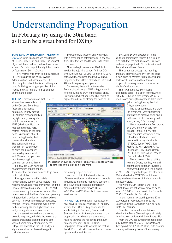## Understanding Propagation

In February, try using the <sup>30</sup>m band as it can be a great band for DXing.

#### 30M: BAND OF THE MONTH – FEBRUARY

2009. So far in this series we have looked at 160m, 80m, 40m and 20m. The keenest of you will have realised that we have missed a band. But I aim to put that right this month by focusing on 30m (10MHz).

Thirty metres was given to radio amateurs in 1979 as part of the WARC (World Administrative Radio Conference). It is often forgotten about, but is actually a great band for DXing, as long as you like digital modes and CW (there is no SSB segment on the band plans).

#### THEORY. I have often read that 10MHz

shares the characteristics of both 40m and 20m, but at first sight this sounds ridiculous. Twenty metres (14MHz) is predominantly a daylight band, closing after dark in the winter as the MUF (Maximum Useable Frequency) drops. Forty metres (7MHz) on the other hand is not much of a DX band during the day, but comes alive after dark. The purists will realise that this isn't strictly true as 40m can be open 24 hours a day in mid winter and 20m can be open late into the evening in the summer, but bear with me.

So how can 30m have the characteristics of both bands?

To answer that question we need to go back to first principles.

Propagation on any DX path is fundamentally subject to two factors – the Maximum Useable Frequency (MUF) and the Lowest Useable Frequency (LUF). The MUF is determined by the sunspot number, the time of year and the time of day, and generally is higher during periods of heightened solar activity. The MUF is the highest frequency that the F layer(s) can refract over a given path, if working DX. Go higher than this and your signals escape into space.

At the same time we have the lowest useable frequency, which is the lowest that can be propagated along the same path without being totally attenuated by the D layer. Go lower than the LUF and your signals are absorbed before they get to their destination.

So put the two together and we are left with a small range of frequencies, a channel if you like, that we need to work in to make our contact.

Now we begin to see how 10MHz fits in with the adjoining bands. At times 20m and 30m will both be open to the same parts of the world. At others, the MUF will have dropped so that 20m is closed and 30m and 40m able to propagate signals.

Conversely, there will be times when 20m is closed, but the MUF is high enough for both 40m and 30m to be open at once. But during daylight hours the LUF might be higher than 40m, so closing the band to DX,



The band is open to a large part of the World.

but leaving it open on 30m.

We must think of the band in terms of the current lowest and maximum useable frequencies in order to make any sense of it. This is where a propagation prediction program like the paid-for Ace-HF, or W6ELProp and VOAProp (both free) come into their own.

IN PRACTICE. So what can you expect to hear on 30m? Well at midnight in February we find that 30m is likely to open to the south, taking in Northern, Central and Southern Africa. As the night moves on the propagation will shift to the south-west, heading towards the Falklands and South America by about 0000-0400hrs. Propagation then shifts towards the east as the MUF on that path rises as the sun comes up over Africa and Russia.

By 10am, D layer absorption in the southern hemisphere (where it is summer) is so high that the path is closed. But now we have propagation to North America and the northern climes of Asia.

This continues through the morning and early afternoon, and by 4pm the band is now open to Western Australia, Asia and north-west Canada. As the afternoon progress to evening we can now work the whole of Africa again.

This is what makes 30m such a fascinating band – it is open to somewhere virtually 24 hours a day, whereas 20m is often closed during the night and 40m won't

get far during the day thanks to D layer absorption.

The other good news is that, on the whole, you won't be fighting stations with massive Yagis and a half-wave dipole is actually quite short, at only 15m in length.

I have worked many DX stations on 30m, often with very few pileups. In fact, it is my first band of choice whenever a new DXpedition starts up. I have managed to snag Mauritania (5T5DC), Syria (YK9G), San Marino (T77C), Libya (5A7A), St Branson (3B7C) and Oman (A45XR) on 30m, all on CW and often with about 25W.

This may seem like small fry to many DXers, but they were all caught using either an inverted V half wave dipole on a fishing pole,

an MFJ 1786 magnetic loop in the attic or an 85ft end-fed wire (W3EDP), which was catapulted over the roof of the house and is almost invisible.

No wonder 30m is such a well-kept secret! If you are not a fan of dits and dahs, turn to 10.140MHz and join in the fun with PSK31. There is lots of activity.

In fact, you can try working some 30m DX yourself in February, thanks to the Desecheo Island DXpedition running from 12 to 26 February.

Desecheo is a small, mountainous island in the Mona Channel, approximately 14 miles west of Punta Higüero, Puerto Rico.

From the UK, the 30m band should open to KP5 from around 0930 – 1230hrs, and then again from 1730-2200hrs, with another opening in the early hours of the morning.

44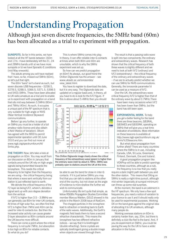## Understanding Propagation

Although just seven discrete frequencies, the <sup>5</sup>MHz band (60m) has been allocated as a trial t<sup>o</sup> experiment with propagation.

SUNSPOTS. So far in this series, we have looked at all the HF bands between 160m and 17m. I have deliberately left the 21, 24 and 28MHz bands until a) we have more sunspots or b) we have Sporadic-E conditions (mid May onwards).

The astute among you will have realised that I have, so far, missed out 5MHz (60m), so let's put that right.

The 60m 'band' isn't a band as such, but seven discrete USB frequencies – 5258.5, 5278.5, 5288.5, 5366.5, 5371.5, 5398.5 and 5403.5MHz. These have been allocated to UK radio amateurs as a trial and to enable us to experiment with propagation on a band

that sits mid way between 3.5MHz (80m) and 7MHz (40m). As such, it occupies a unique part of the RF spectrum that is very suitable for high-angle or NVIS (Near Vertical Incidence Skywave) communications.

Before I go any further, to operate on 5MHz you must be a holder of a full amateur radio licence and also obtain a NoV (Notice of Variation). Ofcom has agreed with the MOD to permit experimental operation until 30 June 2010 and you can find out more at www.rsgb.org/spectrumforum/hf/ 5mhz.php.

THE THEORY. Now, let's take a look at propagation on 60m. You may recall from our discussion on 80m in January that contacts around the UK rely on high-angle signals being transmitted towards the ionosphere. This needs the critical frequency to be higher than the frequency we are using – the critical frequency being that where a wave sent vertically from our station is just reflected back to earth.

We denote the critical frequency of the F2 layer as being foF2, where fo denotes a signal sent up with zero degree deviation from the vertical.

If f0F2 is higher than 3.5 – 3.8MHz we can generally use 80m for inter-UK contacts. At times of high solar flux, we often find that f0F2 is higher than 7MHz and 40m can be used for inter-G contacts too. But then the increased solar activity can cause greater D layer absorption so 80m contacts around the UK become more difficult.

There can come a point where the critical frequency is not quite 7MHz, but absorption is too high on 80m for reliable contacts. So what do you do?

This is where 5MHz comes into play. In theory, it can offer reliable inter-G contacts at times when both 80m and 40m are unsuitable, which is why the 5MHz experiment was set up.

So how can we predict propagation on 60m? As always, our good friend the Chilton Digisonde has the answer – see www.ukssdc.ac.uk/ionosondes/ view\_latest.html.

You have to register to download the data, but it is very easy. The Digisonde data are updated on a regular basis and, in theory, all you have to do is look for the f<sub>0</sub>F2 figure. If this is above about 5.4MHz then you should



This Chilton Digisonde image clearly shows the critical frequency of the extraordinary wave (green) is higher than the ordinary wave (red) by about 0.7MHz. 5MHz was probably open to stations around the UK at this time.

be able to use the band for close-in inter-G contacts. If it is just below 5MHz you may find that you can talk to stations at the other end of the country, but not closer as the angle of incidence is more shallow the further we wish to communicate.

Unfortunately life isn't quite that simple, as fellow RSGB's Propagation Studies Committee member Marcus Walden, G0IJZ showed in his article in the March 2008 issue of *RadCom*.

The charged particles in the ionosphere lead to refraction or bending back to Earth of the radio waves. Additionally, the Earth's magnetic field leads them to have a second refractive characteristic. This means the ionosphere has two different refractive indices – we say that it is birefringent (double refracting). Some crystals are optically birefringent giving a double image when objects are viewed through them.

The result is that a passing radio wave is split into two components; the ordinary and extraordinary waves. Research has shown that the critical frequency of both these waves is slightly different and we need to look at both f<sub>0</sub>F2 (ordinary) and  $f_XF2$  (extraordinary) – the critical frequency of the ordinary and extraordinary waves – if we are to actually predict whether we can use 5MHz for NVIS communications. Generally, the ionosonde parameter  $f_X$ I can be used as a measure of  $f_xF2$ .

Over the UK, the extraordinary wave critical frequency fxF2 is higher than that of the ordinary wave by about 0.7MHz.There

have been many occasions when foF2 has been lower than 5MHz, but the band has still been open.

EXPERIMENTAL WORK. To help you get a better feeling for the band there are three beacons, GB3RAL, GB3WES and GB3ORK, operating on 5MHz that will give you a real-time indication of conditions. More information on these beacons is available at http://www.rsgb-spectrumforum.org.uk/ 5mhz%20beacons.htm.

But what about propagation from further afield? There are many countries where the 5MHz is in use, including Canada, USA, St Lucia, Greenland, Finland, Denmark, Eire and Iceland.

A good propagation program like VOAProp will be able to predict openings to these countries, although as a rule, the frequency is so low that you really

require a dark (night) path between you and the other station. This means that DXing on 5MHz is really a night-time pursuit, although mid-winter (especially at sunspot minimum) can throw up some real surprises.

At the moment, the band is an oddment in the HF spectrum. We only have a few spot frequencies, you need a notice of variation to your licence to use it and it should really only be used for experimental purposes. Working DX on the band goes against the original idea of allocating it to UK amateurs, although many people do.

Working overseas stations on 60m is certainly harder than, say, 20m, but there is definitely a club-like feel to the band. And, if you do experiment on 5MHz, you could be paving the way for the UK to have a wider allocation in the future.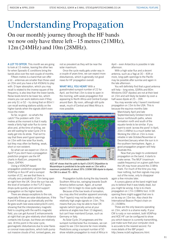#### Understanding Propagation On our monthly journey through the HF bands we now only have three left –<sup>15</sup> metres (21MHz), <sup>12</sup>m (24MHz) and <sup>10</sup>m (28MHz).

A LOT TO OFFER. This month we are going to look at 15 metres, leaving the other two for when Sporadic-E conditions bring the bands alive over the next couple of months.

Fifteen metres is a band that can offer a lot – antennas are smaller than those used on 20m and you have a full 450kHz to play with. D layer absorption, which you may recall is related to the inverse square of the frequency, is also less than the lower bands. Noise levels tend to be lower too, which means you can work stations even if they are only S1 or S2 – try doing that on 80m! I can recall working stations solidly on the higher bands when the signals didn't even move the meter.

So far, so good – so what's the catch? The problem with 15m metres at the moment is that it really needs a fairly high solar flux to come alive and, at the time of writing, we are still waiting for solar Cycle 24 to really get into its stride. That isn't to say that there aren't good openings on 15m with low solar flux levels, but they may often be fleeting, weak, short or non-existent.

So what can we expect on 15m in April? If you don't have a propagation prediction program use the HF charts in *RadCom*, prepared by Gwyn, G4FKH.

Using a VOACAP-based propagation prediction program like VOAProp or Ace-HF and a sunspot number of 22, we see that there is virtually zero probability of 15m being open at night from the UK. Once the sun has set, the level of ionisation in the F1/F2 layers drops quite quickly and cannot support propagation on the higher bands.

There are always exceptions to the rule, especially if there are solar disturbances. If the A and K indices go up dramatically and the Bz goes south (see www.solarcycle24.com), showing that the interplanetary magnetic field is coupling with the earth's magnetic field, you can get Auroral E enhancements at night that can give relatively short distance contacts into Europe, but these are relatively rare. At this point in the solar cycle, geomagnetic disturbances due to solar flares or coronal mass ejections, which both pump out massive clouds of hot, ionised gases, are

not so prevalent as they will be near the solar maximum.

Once the cycle really gets under way in a couple of years time, we can expect more disturbances, which is generally not good news for HF propagation overall.

WHAT WILL YOU HEAR? With a guesstimated sunspot number of 22 for April, we find that 15m is slow to open in the morning, with weak propagation first appearing to North Africa and Central Europe around 8am. By noon, although still quite weak, much of Central and West Africa is now possible.



ACE-HF shows that the path to April's C91FC DXpedition to Mozambique is predicted to be quite weak on 15m with a maximum probability of about 35% (100W SSB dipole to dipole). For CW it is about 75 – 80%.

Propagation builds during the day towards Southern Africa too, swinging towards South America before sunset. Again, at sunset expect 15m to begin to close quite rapidly.

Because of the low levels of ionisation, you may also find another apparent anomaly. The F layer(s) may not be able to return relatively high angle signals on 15m. This means that you may be able to hear DX signals (which typically arrive at your antenna at angles less than 10 degrees), but can't hear mainland Europe, such as Germany or Italy.

As Solar Cycle 24 progresses and the sunspot number/solar flux increases, we can expect to see 15m become far more reliable. Predictions using a sunspot number of 50 show reliable propagation to most of Africa in

April – even Antarctica is possible in late afternoon.

With a high solar flux and a decent antenna, such as a Yagi at 30 – 40ft or more, long-path openings to the Pacific may be possible after sunrise and again in the late afternoon.

You will definitely find that a good antenna will help – long wires, G5RVs and 80m Windoms (OCF dipoles) are not at their best on 15m and will likely be beaten by even a half-wave dipole at 25 – 35ft.

You may wonder why I haven't mentioned propagation on 15m to the USA. This is because the equinox months (late

March/early April and late September/early October) tend to favour north/south paths, where ionisation north and south of the equator tends to be similar. If you want to work 'across the pond' in April, 20m (14MHz) is a much better bet. Working the USA on 15m is more reliable in late October/November or December/January when the sun is in the southern hemisphere. Again, a good propagation program will help illustrate this.

Now that you begin to understand propagation on the band, it starts to make sense. The MUF (maximum usable frequency) on a given path from the UK may hover around the 21MHz mark. For much of the time you may hear nothing, but then signals may pop out of the noise, only to disappear again a few minutes later.

A cursory glance at the band might lead you to believe that it was totally dead, but you might be wrong. A tip is to check propagation on 17m (18MHz too). A DX opening there might suggest that one is on its way on 15m too. Also check the International Beacon Project chain on 21.150MHz.

These are the only beacons operating on 15m, which is a shame really. If your CW is rusty or non-existent, both VOAProp and ACE-HF can be configured to show you which beacon is currently transmitting, just make sure that your computer clock is accurate to the nearest second. For more details of the IBP project http://www.ncdxf.org/beacons.html.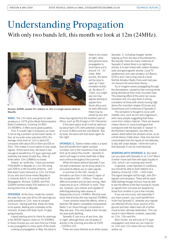### Understanding Propagation With only tw<sup>o</sup> bands left, this month we look at <sup>12</sup>m (24MHz).



Richard, G3RWL worked 351 stations on 12m in a single session while on Mayotte.

WARC. The 12m band was given to radio amateurs in 1979 at the World Administrative Radio Conference. Covering 24.890– 24.990MHz, it offers some great qualities.

First, it is quite high in frequency so noise is not as big a problem as the lower bands. In fact, at my quite noisy suburban QTH, the average noise level on 12m is about S2, compared with about S9 on 80m and S8 on 40m. This makes it much easier to hear weak signals. At the same time, the band is low enough to benefit from F2 layer openings with relatively low levels of solar flux, often at times when 10m (28MHz) is closed.

Indeed, as I write this, I have just worked FH/G3SWH in Mayotte on 12m CW using just 20W to a loft-mounted antenna – and that wasn't even resonant on 12m. For those of you who don't know where Mayotte is (I certainly didn't), it is a small island off Madagascar. Richard, G3RWL and Phil, G3SWH worked nearly 500 stations on 12m during their time on Mayotte.

OPENINGS. At the time I made the contact, the solar flux was only 69 so DX openings are quite possible on 12m, even at sunspot minimum. Having said that, these are likely to be sparse, fleeting and unreliable at the moment, at least until Solar Cycle 24 gets going properly.

A good starting point to check for openings is the NCDXF beacon chain on 24.930MHz. In three minutes you can soon find out if there is any propagation to many parts of the world.

Looking at propagation in May, the band is

likely to be closed at night, other than ground wave propagation to local hams out to around 15 – 20 miles. After sunrise, the band will be slow to open as F layer ionisation builds up. By about 9 – 10am, you might see one-hop signals starting to appear from North Africa and by early afternoon these may by joined by two and

three-hop signals from the southern part of Africa, such as 9Q (Congo) or 5H (Tanzania).

If the band opens at all it will be optimum by about 6pm UTC with potential coverage to much of Africa and the mid Atlantic. But, by dusk, the band will shut down again for the night.

SPORADIC-E. Twelve metres really is a band that will benefit from higher sunspot numbers, but in the meantime it has another trick up its sleeve this month – Sporadic-E, which will begin to show itself later in May and continue throughout the summer.

While the factors behind Sporadic-E are not well understood, we do know what it is and what its effects are on radio signals.

In summer (in the UK), clouds of ionisation can form in the lower E region of the ionosphere (90 – 100km). These are difficult to predict and are fast moving, often measured at up to 160km/h or more. They are, however, very intense and capable of reflecting/refracting radio waves of frequencies of up to 144MHz. Records even show that at times this has reached 250MHz.

I have certainly heard the effects, when a Spanish FM station completely overpowered Radio 2 as I drove through Lincolnshire in May last year. This only lasted a few minutes but was quite startling.

Sporadic-E can occur at any time, day or night, although there can be peaks of activity in the morning and often at 2000 – 2200hrs UTC.

There are many theories as to what causes

Sporadic- E, including charged 'sprites' leaping up from the tops of thunderstorms. But equally, there are many instances of Sporadic-E where there is no lightning activity. It is also linked with meteor showers, solar and geomagnetic activity. Local TV weatherman and radio amateur Jim Bacon, G3YLA and I had a long chat at a local Norfolk Amateur Radio Club event last year. Jim favours the wind shear theory.

Try to imagine waves propagating through the atmosphere, caused by fast-moving winds being diverted as they cross mountain tops. This shearing effect of the wind can cause ionisation and Jim says there is strong correlation at times with winds moving high above the mountain ranges of Europe and Scandinavia and incidences of Sporadic-E.

The ionisation is thought to occur with metallic ions, such as iron and magnesium, with many people suggesting that these come from meteor material. There are several meteor storms in June/July/August that correspond with the Sporadic-E 'season' in the Northern hemisphere, but often the season starts before the showers arrive, so as a finite theory it falls down. How ions become concentrated into thin layers at mid latitudes is also still under debate. I think the truth is that Sporadic-E can be multi-factorial.

WORKING WITH SPORADIC-E. But what can you work with Sporadic-E on 12m? Much of what I have said here will apply equally to 10m, which I am covering next month.

In general, under Sporadic-E conditions, you should be able to work stations at a distance of around 1200 – 1400 miles. The signal strengths will be high, with  $S9+$ signals commonplace. There will be rapid QSB (fading) though and you may be able to see the effects of the fast moving Es clouds as signals from one area are replaced by those from another in just a few minutes.

If you are very lucky, and especially if you have a beam, you could benefit from multi-hop Sporadic-E, whereby your signals are reflected off one cloud, bounce of the ground and then reflect back off a further cloud to their ultimate destination. This can result in trans-Atlantic contacts, especially on 12m, 10m and 6m.

Next month, we will look at F2 layer propagation and what we can hope for on 10m and 12m when the sun finally wakes up.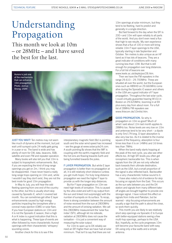### Understanding Propagation

This month we look at 10m – or 28MHz – and I have saved the best for the last.



JUST YOU WAIT! Ten metres may not seem like much of dynamo at the moment, but just wait until sunspot cycle 24 really gets going in a year or so. The band is wide and has plenty of room for CW, data, beacons, SSB, satellite and even FM and repeater operation.

Many books will also tell you that 10m is subject to tropospheric enhancements. But, if you are expecting the kind of long-range openings you get on 2m, I think you may be disappointed. I have never heard a really long-range tropo opening on 10m and, while I wouldn't say they don't exist, they are not the best mode for good 10m propagation.

In May to July, you will hear the odd fleeting opening from one end of the country to the other, but this is usually short-skip caused by Sporadic-E, which I covered last month. You can sometimes get other E layer enhancements caused by high energy particles impacting the ionosphere after a coronal mass ejection (CME) or solar flare. If you hear European stations on 10m and it is not the Sporadic-E season, then a high A or K index is a good indication that this is what is happening. These type of events are often followed by more characteristic Auroral openings with their characteristic 'whispery' sounding voices.

Another check for this is to see if the

interplanetary magnetic field (Bz) is pointing south and the solar wind speed has increased – see the gauge at www.solarcycle24.com. A south pointing Bz shows that the IMF is coupling with the earth's magnetic field and the hot ions are flowing towards Earth and being funnelled towards the poles.

F LAYER PROPAGATION. But while E layer propagation is better than no propagation at all, it is still relatively short distance (unless you get multi-hops). For truly long-distance propagation we need the higher F layer to provide us with the longer skip distances.

But for F layer propagation on 10m we need high levels of ionisation. This is caused by the ultra-violet and soft X-ray output from the sun and linked (not surprisingly) with the number of sunspots on its surface. To recap, there is strong correlation between the amount of noise received from the sun at 2800MHz and the amount of ionising radiation. We call this 2800MHz measurement the 'solar flux index' (SFI), although let me reiterate, radiation at 2800MHz does not cause the ionisation – it is just a convenient way of measuring the solar output.

For 10m to open up to DX reliably we need an SFI higher than we have had at solar minimum. That isn't to say that there are not

10m openings at solar minimum, but they tend to be fleeting, hard to predict and generally in a single direction.

But fast forward to the day when the SFI is 200+and 10m will open reliably to all parts of the world. And you don't even need a flux that high to see results. My own experience shows that a flux of 100 or more will bring reliable 10m F layer openings to the USA, typically starting in late September and October. Ten metres is also unique as an HF band as it has lots of beacons. They are a great indicator of conditions with many running less than 10W. But that is still enough for propagation over long distances. For a full list of beacons see

www.keele.ac.uk/depts/por/28.htm.

Then we have the FM repeaters in the range 29.610 – 29.700MHz. These are situated all over the world, but the European ones such as HB9HD on 29.660MHz come alive during the Sporadic-E season and others in the USA are a good indicator of F layer propagation. Throughout the last solar cycle, I could virtually guarantee hearing W1OJ in Boston on 29.620MHz, booming in at S9 plus every day from about noon. For a full list of 28MHz FM repeaters see www.thiecom.de/10mlist.htm.

GOOD PROPAGATION. So why is

propagation on 10m so good? Much of what I said about 12m last month applies to 28MHz too. Noise levels are very low on 10m and antennas tend to be very short – a dipole is only 5m/17ft long. D layer absorption is also very low too. As it is related to the inverse square of the frequency, absorption is four times less than it is on 14MHz and 16 times less than 7MHz.

When the band really starts hopping at the peak of the next cycle, you also see other effects too. At high SFI levels you often get ionospheric backscatter too. This is when signals from the UK are not only reflected back towards their ultimate destination, such as the USA, but a small proportion of the signal is also reflected back. Backscatter has a very characteristic hollow sound to it.

I have also noted a lot of evidence for skip focusing on signals from the East. This occurs as the sun sets between you and the DX station and signals from many different takeoff angles are brought together to provide one stronger signal. I have noticed this effect on signals from India and Pakistan, but be warned – skip focusing enhancements are usually a sign that the path is about the close, so work them quickly.

This month you are likely to see relatively short-skip openings via Sporadic-E to Europe with better-equipped stations seeing a few multi-hop openings, perhaps to the USA. But, hopefully, as the cycle progresses 10m will become your favourite band with easy DX using only a few watts and a simple antenna.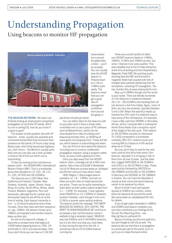### Understanding Propagation Using beacons to monitor HF propagation



THE BEACON NETWORK. We have now finished looking at what powers ionospheric propagation on all of the HF bands. But if no one is calling CQ, how do you know if a band is open?

The answer to that question lies with HF beacons – small, usually low-powered and unmanned transmitters that announce their presence on the bands 24 hours a day using Morse code. And if that last phrase frightens you, don't worry – the Morse is usually quite slow and you can also use a look-up table or beacon list to find out which one is transmitting.

I'll start by looking at the most famous beacon chain – the NCDXF/IARU International Beacon Project (IBP). This is a worldwide group that operates on 14.100, 18.110, 21.150, 24.930 and 28.200MHz.

The beacons are in USA (New York, California and Hawaii), Canada, New Zealand, Australia, Japan, Russia, Hong Kong, Sri Lanka, South Africa, Kenya, Israel, Finland, Madeira, Argentina, Peru and Venezuela, although the Sri Lankan and Venezuelan beacons are off the air at the time of writing. Each beacon transmits in turn – a 10-second sequence every three minutes. Once they have sent their sequence on, say, 14MHz, the beacon moves up to 18MHz and repeats it and another beacon takes up their slot.

As well as the beacon's callsign, it transmits a constant tone that begins at 100W before stepping down to 10W, 1W and finally 0.1W in one-second steps. And if you don't think you can hear a 0.1W CW just three minutes per band.

You can either listen for the beacons with an accurate clock (I have a cheap radiocontrolled one) or use a piece of PC software, such as BeaconClock, which can be downloaded from http://huntting.com/ beaconclock/index.html, or VOAProp at www.g4ilo.com/voaprop.html. These will tell you which beacon is transmitting and when.

You can find out more about the beacons, including how to conduct unattended propagation research using a program called Faros, at www.ncdxf.org/beacons.html.

Once you step away from the NCDXF beacon chain, coverage can be a little more patchy. Take a look at G3USF's Worldwide List of HF Beacons at www.keele.ac.uk/depts/ por/28.htm and you'll see what I mean.

IARU Region 1 discourages beacon operation on 1.8 – 10MHz, but even so there are quite a few on these bands that are active. These can be quite interesting to track down as their power output ranges from 0.1 – 100W. For example, I have regularly heard SK6RUD on 10.133MHz in Oxaback, southern Sweden, even though it only runs 0.5W to a quarter wave vertical antenna. The beacon sends the message "VVV QRPP BEACON DE SK6RUD, QTH JO67KI, PSE RPRT TO WWW.RADIORUD.SE" and five or six people a day visit the beacon owner's website to log a reception report. SK6RUD also has 500kHz and 3.5424MHz beacons, but it is the 30m one that you most likely to hear during the day from the UK. It sometimes has its 24.912MHz beacon running too.

There are a small handful of other non-NCDXF beacons listed on 14MHz, 18MHz, 21MHz and 24MHz as well, but when I listened none were audible. This was probably due to the K Index being four at the time of writing and the Interplanetary Magnetic Field (IMF) Bz pointing south, showing that the IMF and the earth's magnetic fields had coupled with lots of charged solar particles streaming into the ionosphere, wrecking HF propagation. You can monitor this at www.solarcycle24.com.

Step up to 28MHz though and the world is your oyster. There are literally hundreds of 10m beacons in existence between 28.110 – 28.322MHz and tracking them all can become a full-time hobby. Again, many of them are very low powered, typically between 5 and 10W. When the solar flux heads up towards the 200 mark it is relatively easy to hear some of the US beacons. For example, I have a QSL card from NS9RC in Winnetka, Illinois, which I received after e-mailing the North Shore Radio Club a reception report at the height of the last cycle. Their beacon on 28.297MHz consists of a Kenwood TS-140S connected to a homebrew controller, MFJ-971 antenna tuner and running 8W to a Solarcon A-99 vertical antenna at 70 feet.

But you don't have to wait for the next solar cycle to kick off to hear some 10m beacons. Sporadic-E is bringing in lots of them from all over Europe. Just the other day I logged IW3FZQ/B on 28.226MHz and IZ3LCJ on 28.207MHz in Italy. These were quickly followed by DK0TEN on 28.258MHz and DL0IGI on 28.205MHz in Germany and OE3XAC on 28.188MHz in Austria. You can track the Sporadic-E clouds as they move and some beacons vanish to be replaced by others.

Much of what I have said applies equally to 50MHz (six metres), where there are beacons all around the world. See www.keele.ac.uk/depts/por/50.htm for details.

If you do get really interested in 28MHz and 50MHz and beacon reception you can even contribute your findings to the Six and Ten Reporting Club – see http://g7kse.co.uk/6and10/.

Beacon hunting can become addictive, but don't forget to call CQ as well. The beacons tell you that there is propagation to a particular part of the world, but it is up to you to make the band active.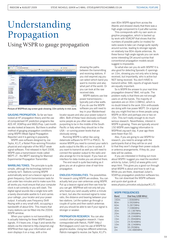### Understanding Propagation Using WSPR to gauge propagation

 $\mathbf{n}$  -  $\mathbf{D}$  and  $\frac{1}{2}$ 

Picture of WSPRnet.org screen grab showing 10m activity in mid June.

GAUGING PROPAGATION. So far we have looked at HF propagation theory and the use of computerised HF prediction programs like ACE-HF, VOAProp and W6ELProp. Last month we also looked at beacons. But there is another method of gauging propagation conditions using WSPR (Weak Signal Propagation Reporter) and it is gaining in popularity.

WSPR uses software designed by Joe Taylor, K1JT, a Nobel Prize-winning Princeton physicist and originator of the WSJT weak signal software. First released in April 2008, WSPR uses a transmission mode called MEPT-JT - the MEPT standing for Manned Experimental Propagation Transmitter.

WARBLING TONES. The principle is quite simple, although the technology behind it certainly isn't. Stations running WSPR automatically send out a beacon signal on a given frequency. Each transmission lasts for just under two minutes and to make sure this all works you must ensure that your computer clock is set correctly or you will clash. The digital signal sounds like a single tone with a barely discernable warble to it and carries your callsign, your locator and your power output. It actually uses Frequency Shift Keying with a very small shift, occupying a bandwidth of about 6Hz. This means that many stations can be fitted into the 200Hz WSPR window.

When your system is not transmitting it is actually listening for these WSPR beacon signals. If it hears one, it logs it and sends the details via the internet to http://wsprnet.org/. WSPRnet then logs your information and even displays it on a map, with a line

between the transmitting and receiving stations. If you visit wsprnet.org you can select which band you want to monitor and also what part of the world. Or you can look at the raw received data.

showing the paths

WSPR stations use low power transmissions – typically just a few watts. If you do use the WSPR software you will need to key in your Maidenhead

locator square and also your power output in dBm. Both of these have obviously confused some people as you often see stations purporting to be in the middle of the South Pacific or Italy when they should be in the USA – or running power levels that are obviously wrong.

Running WSPR is rather like using datamode software for RTTY or PSK31. To receive WSPR you need to connect your radio's audio output to the Mic or Line In socket. If you want to transmit as well you will need to connect the speaker output to the radio and also arrange for it to be keyed. If you have an interface for data modes you are almost there.

The end result is quite fascinating as it gives you an at-a-glance view of real-time propagation.

ENDLESS POSSIBILITIES. The possibilities for research using WSPR are endless. You can actually test your own antennas using WSPR. Put up a beacon signal and then see how far you can get. WSPRnet will not only tell you who heard you (and usually within a minute or two), but also the received signal to noise ratio, the distance and bearing between your two stations. Let the system go through a couple of cycles and then switch antennas and you should be able to see if your signal is stronger or weaker.

PROPAGATION RESEARCH. You can also conduct other propagation research. I have corresponded with Patrick, F6IRF (http:// f6irf.blogspot.com/) over his use of WSPR for greyline studies. Using two different antennas, Patrick managed to receive Joe Taylor, K1JT's

own 80m WSPR signal from across the Atlantic and showed clearly that there was a high-angle component to it just after sunrise.

This corresponds with my own work on greyline propagation, which is backed up by work with VOACAP that shows that the numbers of possible paths (or modes) for radio waves to take can change quite rapidly around sunrise, leading to stronger signals on relatively low 80m dipole antennas. As these favour high angle signals you can work some interesting DX around sunrise that conventional propagation models would suggest is impossible.

So what else can you do with WSPR? It is also good for detecting Sporadic-E openings on 10m, showing you not only who is being received, but importantly, who is active but NOT being received. You don't HAVE to transmit either. SWL reports of signals heard are equally important.

So is WSPR the answer to your real-time propagation dreams? Well, not quite. The problem really is that there are not enough users on all the bands. The majority of operators are on 30m (10MHz), which is no doubt linked to the work 30m enthusiasts are doing with low power MEPT. On a typical day you might find two or three people using WSPR on 80m and perhaps one or two on 15m. This isn't really enough to do much serious research. Nevertheless, interest in WSPR is growing. There are typically around 150 WSPR users logging information to WSPRnet.org each day. A year ago there were fewer than 50.

Also, if you are going to use WSPR for research, you need to arrange with the participants that a) they will be on and b) that they won't change their power outputs or antenna arrangements. If they do, your data will be useless.

If you are interested in finding out more about WSPR I suggest you read the excellent article by Julian, G4ILO at www.g4ilo.com/ wspr.html. This gives you a good run through what WSPR is about and how to set it up. While you are there, download Julian's VOAProp propagation prediction software too.

You can download the WSPR software and quick start guide at www.physics.princeton.edu/pulsar/K1JT/.

#### WSPR FREQUENCIES

| Band            | Dial freg (USB MHz) |
|-----------------|---------------------|
| 160m            | 1.8366MHz           |
| 80m             | 3.5926MHz           |
| 60 <sub>m</sub> | 5.2872MHz           |
| 40 <sub>m</sub> | 7.0386MHz           |
| 30 <sub>m</sub> | 10.1387MHz          |
| 20 <sub>m</sub> | 14.0956MHz          |
| 17 <sub>m</sub> | 18.1046MHz          |
| 15m             | 21.0946MHz          |
| 12 <sub>m</sub> | 24 9246MHz          |
| 10 <sub>m</sub> | 28.1246MHz          |
| 6m              | 50.293MHz           |
| 2m              | 144.4885MHz         |
|                 |                     |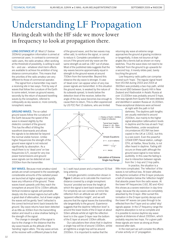#### Understanding LF Propagation Having dealt with the HF side we move lower in frequency to look at propagation there.

LONG DISTANCE AT LE. Most LF (below 300kHz) propagation information is aimed at commercial users. In contrast to commercial radio users, the radio amateur, often working at the threshold of possibility, is willing to wait for – and use – whatever short-term effects are available to achieve his ambition of long distance communication. This means that the priorities of the radio amateur are very different to those of commercial operator.

The signal from a transmitter may reach a receiving site in two ways. First by way of waves that follow the curvature of the Earth to some extent, known as ground waves; secondly by the return of skyward travelling waves by the ionosphere, referred to colloquially as sky waves or, more correctly, ionospheric waves.

GROUND WAVES. The so-called ground waves follow the curvature of the Earth because the speed of the wave is slowed slightly by the dielectric constant of the ground. This has the effect of tilting the wavefront downwards and allows the signals to be detected far beyond the normal visible horizon. Unlike higher frequencies the strength of the ground wave signal is not reduced significantly by absorption. As a result there is no 'dead zone' on low frequencies (LF), except for very low power transmissions and ground wave signals can be detected at over 2000km from the transmitter.

SKY WAVES. Because most amateur sized aerials are small compared to the wavelength, considerable amounts of the radiated power are launched at higher angles and rapidly leave any influence of the ground. These waves travel upwards until they reach the ionosphere at around 50 to 100km altitude. Vertical incidence signals will penetrate deeply into the ionised regions but will suffer a great deal of attenuation, but at lower angles the waves will be gently 'bent' (refracted is the correct technical term) back towards the ground. Sky wave returns have been detected at as little as 300km from the transmitting station and result is a slow shallow fading in the strength of the signal.

The change in strength of the signal is due to the change in the distance that the sky-wave travels as the altitude of the 'bending' region alters. The sky-wave arrives at the receiver with a different phase to that

of the ground wave, and the two waves may either add, to reinforce the signal, or cancel to reduce it. Complete cancellation only occurs if the ground and sky-wave are the same strength as well as 180° out of phase. Most of the published data suggests that the sky-waves become approximately equal in strength to the ground-waves at around 700km from the transmitter. Beyond this distance the sky wave is stronger. A case of 'dead zone' can appear when of very low power signals are transmitted. In this situation the ground wave, is weaked by the nature of its outwards spread, to levels below the detection level of the receiver, before the angle of the sky-wave becomes low enough to cause them to return, This is often experienced by US FCC Part 15 stations, who are limited



to 1 watt input power and a maximum 50 foot long antenna.

A simple geometric construction shown in Figure 1 allows us to calculate the maximum distance covered by a single ionospheric 'bounce' provided we know the height at which the signal is bent back towards Earth. For simplicity we can consider a mirror like reflection from an altitude we will call the 'apparent reflection height', and we will assume that the signal leaves the transmitting site tangentially to the ground. Experience suggests that the daytime 'reflection level' is around the lower levels of the D-layer at about 50km altitude whilst at night the reflection level is in the upper D-layer near the bottom of the E-layer at around 100km altitude.

Our calculations then show that in daytime a single hop will be of around 1000km, whilst at nighttime a single hop will be around 2000km. It is important to realise that the

returning sky wave at extreme range approaches the ground at grazing incidence or tangentially, it does not bounce at high angles like a tennis ball as shown on many sketches. Thus the wave does not need to be 'reflected' from the ground to go upwards for a second hop, it merely slides past, barely touching the ground.

Low frequency radio paths can comprise several such 'hops'. The regular signal heard from VO1NA during 2003 and 2004 at 3600km was probably a two-hop path, whilst the record QSO between Quartz Hill in New Zealand and Vladivostok in Asiatic Russia at over 10,000km was probably around 5 hops. One-way signals from Quartz Hill were detected and identified in western Russia at 16,000km. These exceptional distances were achieved

> at night with the path in full darkness. The daytime path lengths are usually restricted to around 2000km, due mainly to the higher signal absorption (attenuation) levels in daytime and the loss at each 'hop'. Nevertheless, under exceptional circumstances VO1NA has been copied in the UK at 1200Z, but this is a rare event. Even the powerful (20kW ERP) Naval station, callsign CFH, at Halifax, Nova Scotia, is not often heard in daytime. Fading still occurs on these path although the ground wave signal is now below audibility. In this case the fading is due to interaction between signals from the 1-hop and 2-hop paths.

In practice, the situation is a

little more complicated. The 'reflection' of the waves is not without loss. At lower altitudes the daytime ionisation of the D-layer produces a belt of ionisation below the 'reflection height' that absorbs power from the radio waves. At the lower HF frequencies (160, 80 and 40m) this shows as a severe restriction in day-time range, because the sky waves are completely absorbed by the D-layer. After sunset this ionisation in the D-layer quickly decays and the lower HF waves can pass through to be reflected from the F layer and so called 'skip' signals appear. In the LF frequency range the daytime absorption is not so complete and it is possible to receive daytime sky-wave signals at distances of about 2000km, which probably requires two hops. For a given path these signals are never as strong as those received after dark.

In the next part we will consider the effects of solar activity on LF propagation.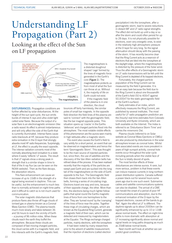### Understanding LF Propagation (Part 2)

#### Looking at the effect of the Sun on LF propagation



DISTURBANCES. Propagation conditions are further affected by solar disturbances. At the height of the sun spot cycle, the sun emits bursts of intense X-rays and ultra-violet light called solar flares. Because the output of a solar flare is an electromagnetic emission (like a radio wave) its effect is almost instantaneous and will only affect the side of the Earth that is currently illuminated. Intense flares cause radio blackouts at HF, because they produce extra ionisation in the D-layer that strongly absorbs most HF radio frequencies. Surprisingly, at LF, the effect is usually the exact opposite. The intense radiation converts most of the normally absorbing level ionisation to a state where it easily 'reflects' LF waves. The result is that LF signals show a strong peak in strength that is a similar shape in time to that of the X-ray flux (as can be seen on the NOAA website). Then as the flare decays, the absorption returns.

This flare enhancement can cause an increase of up to 10dB in the strength of a signal being received in daytime. This can be useful, but the enhancement is much less than is normally achieved on night-time paths and it difficult to catch so is not much used for communication.

The solar magnetic disturbances that produce flares also throw off huge clouds of ionised gas or plasma known as a Coronal Mass Ejection (CME). The plasma travels much more slowly and takes between 36 and 56 hours to reach the vicinity of Earth – a journey of 96 million miles. When these clouds reach the earth they buffet the atmosphere. Because these clouds are composed of fast moving charged particles, the cloud carries with it a magnetic field, and this interacts with the Earth's magnetic field.

The magnetosphere is a distorted doughnut shaped 'cage' formed by the lines of magnetic force generated in the Earth's core (Figure 1). The magnetosphere protects us from most of what the Sun can throw at us. Without it, the majority of life on Earth could not exist. If the magnetic field

of the plasma is in one direction, the cloud

bounces off fairly harmlessly, like similar poles of small bar magnets. In the opposite field direction the field lines of the plasma are said to 'connect' with the geomagnetic field, like the bar magnet opposite poles. This situation opens up 'cracks' in the Earths 'defences' and charged particles flood into the atmosphere. The most notable visible effects of this phenomenon are the aurora seen mainly in high latitudes after a magnetic storm.

The event also causes the Earth's field to vary wildly for a short period, an event that can be observed on magnetometers and hence the term 'Geomagnetic Storm'. This was thought to be the main source of injected particles but, since then, the use of satellites and the discovery of the Van Allen radiation belts has refined ideas of the process. It has been realised recently that the majority of the particles are swept past Earth and are sucked into the long tail of the magnetosphere on the side of Earth opposite to the Sun. The Geomagnetic field then draws them back into the Van Allen belts, forming a series of circulating rings. Electrons travel one way and ions, because of their opposite charge, the other. More than this, the electrons being much lighter follow paths that spiral round the Earths magnetic lines of force from one hemisphere to the other. They are 'turned round' by the 'cramping' of the lines of force near the poles. Together these rings of circulating charges, which are known as the Equatorial Ring Current, generate a magnetic field of their own, which can be detected and measured by magnetometers at the Equator. The Rings exchange charged particles, mainly electrons, with the ionosphere

It had been noted by many researchers prior to the advent of satellite measurement, that the injection of electrons (called electron

precipitation) into the ionosphere, after a geomagnetic storm, lead to severe reductions in distant MF and LF radio signal strengths. The effect did not build up until a day or so after the storm and could often persist for up to 28 days. It is not physically possible for electrons, even very energetic ones, to exist in the relatively high atmospheric pressure at the D layer for very long. So the signal attenuation should decay with the passing of the storm. It has recently become clear that the Ring Current acts as a reservoir of electrons that are bled into the ionosphere at the daylight edge, where the magnetosphere is distorted by the pressure of the Solar wind. Thus the after-effects of a Geomagnetic storm on LF radio transmissions will be felt until the Ring Current is depleted of its trapped electrons.

Fortunately, the charged particle population of the Ring Current can be measured by the field it generates. It is not an easy task because the field due to the Ring Current is about one thousandth of the Earth's field (50 to 400nT against 50,000nT for the static geomagnetic field at the Earth's surface).

Daily estimates of an index, which effectively measures the Ring Current, are published by several institutes. The most useful for LF radio propagation prediction are the (hourly) real-time estimates from Colorado University and Kyoto University, which are both available on the Internet. The Index is referred to as 'Disturbance Storm Time' and carries the mnemonic Dst.

Plasma clouds (referred to on Solar website as Coronal Mass Ejections or CMEs) are also produced by disturbances in the solar atmosphere known as coronal holes. Whilst flare associated events are more prevalent in years of high sunspot activity, coronal hole events occur throughout the solar cycle including periods when the visible face of the Sun is totally devoid of spots.

The most familiar effects of these disturbances are intense aurora. A rarer, but more serious, problem is that these events can induce massive currents in long northern power distribution systems. Canada suffered a power black-out for several hours some years ago due to one such event. Submarine cables and satellite communications systems can also be disabled. The arrival of a CME can herald the onset of a period of poor HF communications and absorption, due to the enhanced ionisation of the D-layer by the trapped electrons, causes all the bands to go 'flat'. Again the effect at LF is different. The daytime signals up to about 2000km can be significantly enhanced by up to 10 or 12dB above normal levels. The effect on night-time paths is more dramatic with absorption at LF increasing significantly above normal and signal levels on long paths dropping as much as 20dB below normal levels.

Next month we'll look at whether we can predict good conditions.